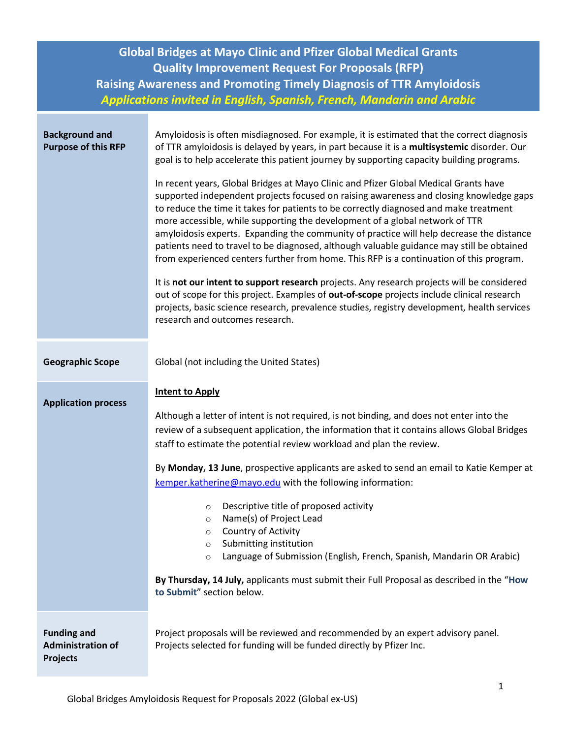| <b>Global Bridges at Mayo Clinic and Pfizer Global Medical Grants</b><br><b>Quality Improvement Request For Proposals (RFP)</b><br><b>Raising Awareness and Promoting Timely Diagnosis of TTR Amyloidosis</b> |                                                                                                                                                                                                                                                                                                                                                                                                                                                                                                                                                                                                                                                                                                                                                                                                                                                                                                                                       |  |
|---------------------------------------------------------------------------------------------------------------------------------------------------------------------------------------------------------------|---------------------------------------------------------------------------------------------------------------------------------------------------------------------------------------------------------------------------------------------------------------------------------------------------------------------------------------------------------------------------------------------------------------------------------------------------------------------------------------------------------------------------------------------------------------------------------------------------------------------------------------------------------------------------------------------------------------------------------------------------------------------------------------------------------------------------------------------------------------------------------------------------------------------------------------|--|
|                                                                                                                                                                                                               | Applications invited in English, Spanish, French, Mandarin and Arabic                                                                                                                                                                                                                                                                                                                                                                                                                                                                                                                                                                                                                                                                                                                                                                                                                                                                 |  |
| <b>Background and</b><br><b>Purpose of this RFP</b>                                                                                                                                                           | Amyloidosis is often misdiagnosed. For example, it is estimated that the correct diagnosis<br>of TTR amyloidosis is delayed by years, in part because it is a multisystemic disorder. Our<br>goal is to help accelerate this patient journey by supporting capacity building programs.<br>In recent years, Global Bridges at Mayo Clinic and Pfizer Global Medical Grants have<br>supported independent projects focused on raising awareness and closing knowledge gaps<br>to reduce the time it takes for patients to be correctly diagnosed and make treatment<br>more accessible, while supporting the development of a global network of TTR<br>amyloidosis experts. Expanding the community of practice will help decrease the distance<br>patients need to travel to be diagnosed, although valuable guidance may still be obtained<br>from experienced centers further from home. This RFP is a continuation of this program. |  |
|                                                                                                                                                                                                               | It is not our intent to support research projects. Any research projects will be considered<br>out of scope for this project. Examples of out-of-scope projects include clinical research<br>projects, basic science research, prevalence studies, registry development, health services<br>research and outcomes research.                                                                                                                                                                                                                                                                                                                                                                                                                                                                                                                                                                                                           |  |
| <b>Geographic Scope</b>                                                                                                                                                                                       | Global (not including the United States)                                                                                                                                                                                                                                                                                                                                                                                                                                                                                                                                                                                                                                                                                                                                                                                                                                                                                              |  |
| <b>Application process</b>                                                                                                                                                                                    | <b>Intent to Apply</b><br>Although a letter of intent is not required, is not binding, and does not enter into the<br>review of a subsequent application, the information that it contains allows Global Bridges<br>staff to estimate the potential review workload and plan the review.                                                                                                                                                                                                                                                                                                                                                                                                                                                                                                                                                                                                                                              |  |
|                                                                                                                                                                                                               | By Monday, 13 June, prospective applicants are asked to send an email to Katie Kemper at<br>kemper.katherine@mayo.edu with the following information:<br>Descriptive title of proposed activity<br>$\circ$<br>Name(s) of Project Lead<br>$\circ$<br>Country of Activity<br>$\circ$<br>Submitting institution<br>$\circ$<br>Language of Submission (English, French, Spanish, Mandarin OR Arabic)<br>$\circ$<br>By Thursday, 14 July, applicants must submit their Full Proposal as described in the "How                                                                                                                                                                                                                                                                                                                                                                                                                              |  |
|                                                                                                                                                                                                               | to Submit" section below.                                                                                                                                                                                                                                                                                                                                                                                                                                                                                                                                                                                                                                                                                                                                                                                                                                                                                                             |  |
| <b>Funding and</b><br><b>Administration of</b><br><b>Projects</b>                                                                                                                                             | Project proposals will be reviewed and recommended by an expert advisory panel.<br>Projects selected for funding will be funded directly by Pfizer Inc.                                                                                                                                                                                                                                                                                                                                                                                                                                                                                                                                                                                                                                                                                                                                                                               |  |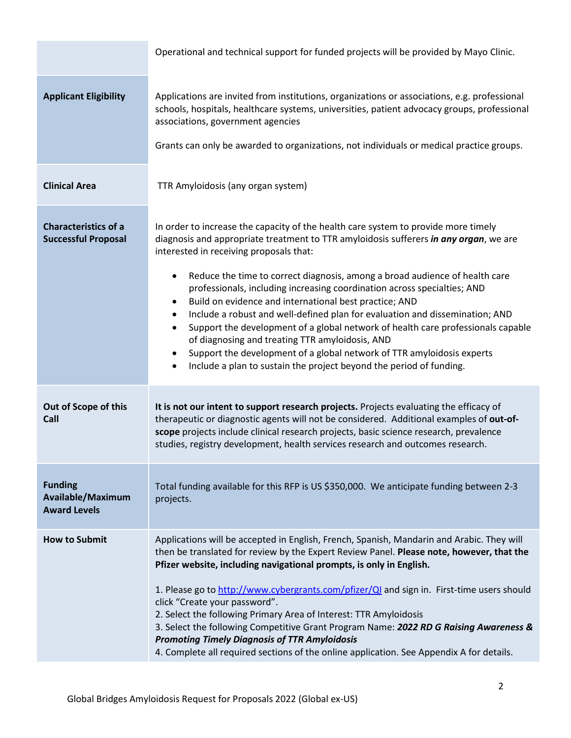|                                                            | Operational and technical support for funded projects will be provided by Mayo Clinic.                                                                                                                                                                                                                                                                                                                                                                                                                                                                                                                                                                                                                                                                                                                                                                                                    |
|------------------------------------------------------------|-------------------------------------------------------------------------------------------------------------------------------------------------------------------------------------------------------------------------------------------------------------------------------------------------------------------------------------------------------------------------------------------------------------------------------------------------------------------------------------------------------------------------------------------------------------------------------------------------------------------------------------------------------------------------------------------------------------------------------------------------------------------------------------------------------------------------------------------------------------------------------------------|
| <b>Applicant Eligibility</b>                               | Applications are invited from institutions, organizations or associations, e.g. professional<br>schools, hospitals, healthcare systems, universities, patient advocacy groups, professional<br>associations, government agencies<br>Grants can only be awarded to organizations, not individuals or medical practice groups.                                                                                                                                                                                                                                                                                                                                                                                                                                                                                                                                                              |
| <b>Clinical Area</b>                                       | TTR Amyloidosis (any organ system)                                                                                                                                                                                                                                                                                                                                                                                                                                                                                                                                                                                                                                                                                                                                                                                                                                                        |
| <b>Characteristics of a</b><br><b>Successful Proposal</b>  | In order to increase the capacity of the health care system to provide more timely<br>diagnosis and appropriate treatment to TTR amyloidosis sufferers in any organ, we are<br>interested in receiving proposals that:<br>Reduce the time to correct diagnosis, among a broad audience of health care<br>$\bullet$<br>professionals, including increasing coordination across specialties; AND<br>Build on evidence and international best practice; AND<br>$\bullet$<br>Include a robust and well-defined plan for evaluation and dissemination; AND<br>$\bullet$<br>Support the development of a global network of health care professionals capable<br>$\bullet$<br>of diagnosing and treating TTR amyloidosis, AND<br>Support the development of a global network of TTR amyloidosis experts<br>٠<br>Include a plan to sustain the project beyond the period of funding.<br>$\bullet$ |
| Out of Scope of this<br>Call                               | It is not our intent to support research projects. Projects evaluating the efficacy of<br>therapeutic or diagnostic agents will not be considered. Additional examples of out-of-<br>scope projects include clinical research projects, basic science research, prevalence<br>studies, registry development, health services research and outcomes research.                                                                                                                                                                                                                                                                                                                                                                                                                                                                                                                              |
| <b>Funding</b><br>Available/Maximum<br><b>Award Levels</b> | Total funding available for this RFP is US \$350,000. We anticipate funding between 2-3<br>projects.                                                                                                                                                                                                                                                                                                                                                                                                                                                                                                                                                                                                                                                                                                                                                                                      |
| <b>How to Submit</b>                                       | Applications will be accepted in English, French, Spanish, Mandarin and Arabic. They will<br>then be translated for review by the Expert Review Panel. Please note, however, that the<br>Pfizer website, including navigational prompts, is only in English.<br>1. Please go to http://www.cybergrants.com/pfizer/QI and sign in. First-time users should<br>click "Create your password".<br>2. Select the following Primary Area of Interest: TTR Amyloidosis<br>3. Select the following Competitive Grant Program Name: 2022 RD G Raising Awareness &<br><b>Promoting Timely Diagnosis of TTR Amyloidosis</b><br>4. Complete all required sections of the online application. See Appendix A for details.                                                                                                                                                                              |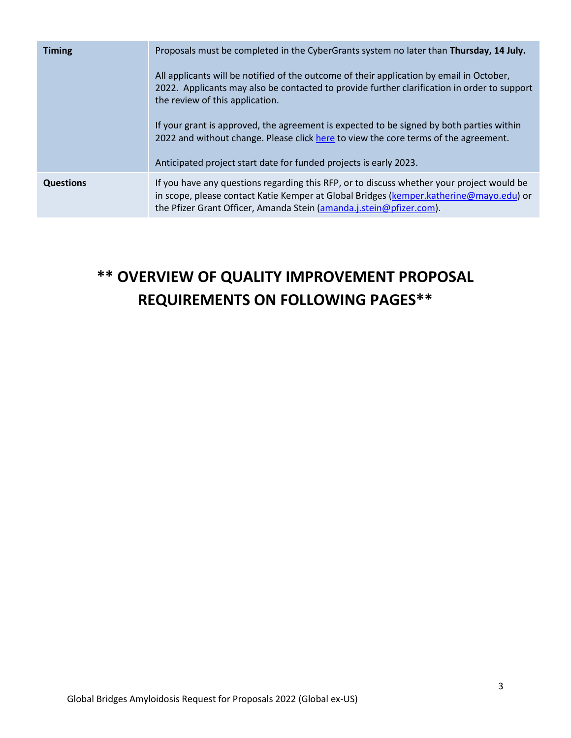| <b>Timing</b>    | Proposals must be completed in the CyberGrants system no later than Thursday, 14 July.                                                                                                                                                               |
|------------------|------------------------------------------------------------------------------------------------------------------------------------------------------------------------------------------------------------------------------------------------------|
|                  | All applicants will be notified of the outcome of their application by email in October,<br>2022. Applicants may also be contacted to provide further clarification in order to support<br>the review of this application.                           |
|                  | If your grant is approved, the agreement is expected to be signed by both parties within<br>2022 and without change. Please click here to view the core terms of the agreement.<br>Anticipated project start date for funded projects is early 2023. |
| <b>Questions</b> | If you have any questions regarding this RFP, or to discuss whether your project would be<br>in scope, please contact Katie Kemper at Global Bridges (kemper.katherine@mayo.edu) or                                                                  |
|                  | the Pfizer Grant Officer, Amanda Stein (amanda.j.stein@pfizer.com).                                                                                                                                                                                  |

## **\*\* OVERVIEW OF QUALITY IMPROVEMENT PROPOSAL REQUIREMENTS ON FOLLOWING PAGES\*\***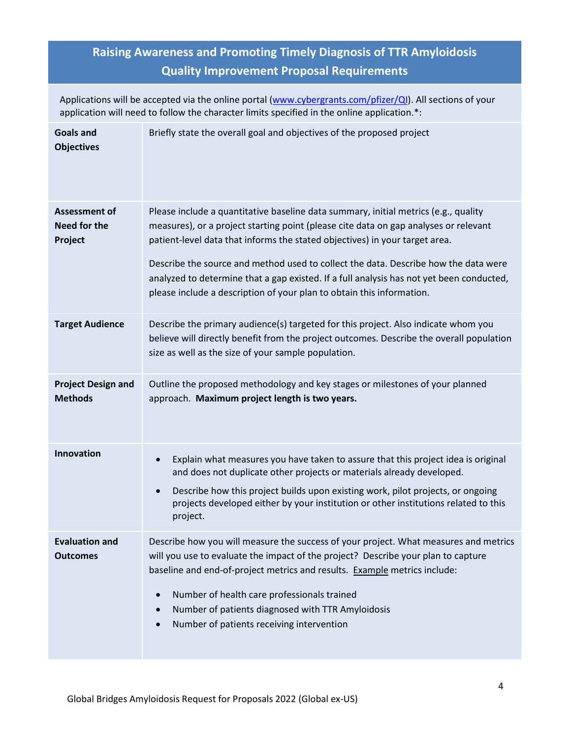## **Raising Awareness and Promoting Timely Diagnosis of TTR Amyloidosis Quality Improvement Proposal Requirements**

Applications will be accepted via the online portal [\(www.cybergrants.com/pfizer/QI\)](http://www.cybergrants.com/pfizer/QI). All sections of your application will need to follow the character limits specified in the online application.\*:

| <b>Goals and</b><br><b>Objectives</b>           | Briefly state the overall goal and objectives of the proposed project                                                                                                                                                                                                                                                                                                                                                                                                                                                  |
|-------------------------------------------------|------------------------------------------------------------------------------------------------------------------------------------------------------------------------------------------------------------------------------------------------------------------------------------------------------------------------------------------------------------------------------------------------------------------------------------------------------------------------------------------------------------------------|
| <b>Assessment of</b><br>Need for the<br>Project | Please include a quantitative baseline data summary, initial metrics (e.g., quality<br>measures), or a project starting point (please cite data on gap analyses or relevant<br>patient-level data that informs the stated objectives) in your target area.<br>Describe the source and method used to collect the data. Describe how the data were<br>analyzed to determine that a gap existed. If a full analysis has not yet been conducted,<br>please include a description of your plan to obtain this information. |
| <b>Target Audience</b>                          | Describe the primary audience(s) targeted for this project. Also indicate whom you<br>believe will directly benefit from the project outcomes. Describe the overall population<br>size as well as the size of your sample population.                                                                                                                                                                                                                                                                                  |
| <b>Project Design and</b><br><b>Methods</b>     | Outline the proposed methodology and key stages or milestones of your planned<br>approach. Maximum project length is two years.                                                                                                                                                                                                                                                                                                                                                                                        |
| <b>Innovation</b>                               | Explain what measures you have taken to assure that this project idea is original<br>$\bullet$<br>and does not duplicate other projects or materials already developed.<br>Describe how this project builds upon existing work, pilot projects, or ongoing<br>$\bullet$<br>projects developed either by your institution or other institutions related to this<br>project.                                                                                                                                             |
| <b>Evaluation and</b><br><b>Outcomes</b>        | Describe how you will measure the success of your project. What measures and metrics<br>will you use to evaluate the impact of the project? Describe your plan to capture<br>baseline and end-of-project metrics and results. Example metrics include:<br>Number of health care professionals trained<br>$\bullet$<br>Number of patients diagnosed with TTR Amyloidosis<br>$\bullet$<br>Number of patients receiving intervention<br>$\bullet$                                                                         |